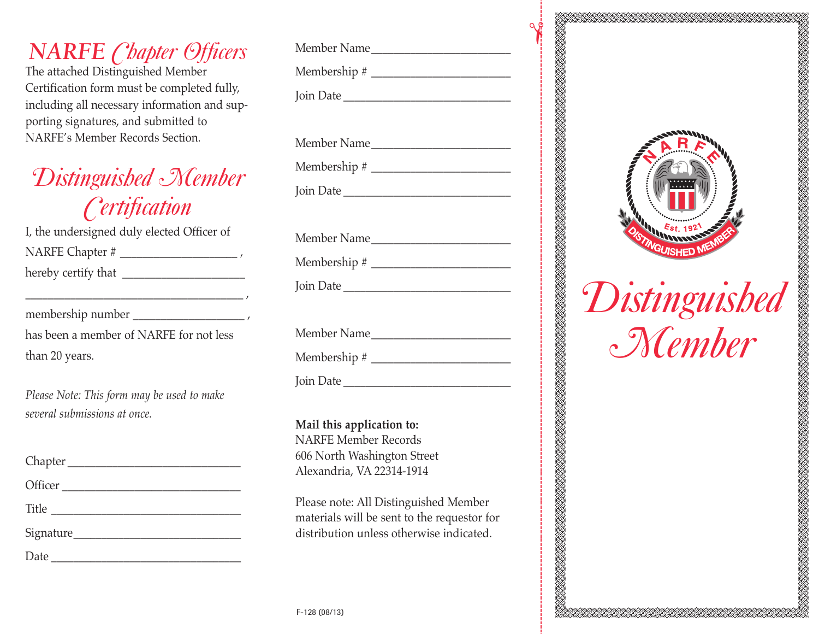### *NARFE Chapter Officers*

The attached Distinguished Member Certification form must be completed fully, including all necessary information and supporting signatures, and submitted to NARFE's Member Records Section.

# *Distinguished Member Certification*

I, the undersigned duly elected Officer of NARFE Chapter # \_\_\_\_\_\_\_\_\_\_\_\_\_\_\_\_\_\_\_\_\_ , hereby certify that

\_\_\_\_\_\_\_\_\_\_\_\_\_\_\_\_\_\_\_\_\_\_\_\_\_\_\_\_\_\_\_\_\_\_\_\_\_\_\_ ,

membership number \_\_\_\_\_\_\_\_\_\_\_\_\_\_\_\_\_\_\_\_ ,

has been a member of NARFE for not less than 20 years.

*Please Note: This form may be used to make several submissions at once.*

Chapter \_\_\_\_\_\_\_\_\_\_\_\_\_\_\_\_\_\_\_\_\_\_\_\_\_\_\_\_\_\_\_ Officer \_\_\_\_\_\_\_\_\_\_\_\_\_\_\_\_\_\_\_\_\_\_\_\_\_\_\_\_\_\_\_\_ Title \_\_\_\_\_\_\_\_\_\_\_\_\_\_\_\_\_\_\_\_\_\_\_\_\_\_\_\_\_\_\_\_\_\_ Signature\_\_\_\_\_\_\_\_\_\_\_\_\_\_\_\_\_\_\_\_\_\_\_\_\_\_\_\_\_\_  $Date$   $\qquad \qquad \qquad$ 

| Member Name |
|-------------|
|             |
|             |
|             |
|             |
|             |
|             |
|             |
| Member Name |
|             |
| Join Date   |
|             |

 $\gamma$ 

AN SEART AN DE STANDARD ON DE STANDARD AN DE STANDARD ON DE STANDARD OP DE STANDARD OP DE STANDARD OP DE STAND

Member Name Membership # \_\_\_\_\_\_\_\_\_\_\_\_\_\_\_\_\_\_\_\_\_\_\_\_\_ Join Date \_\_\_\_\_\_\_\_\_\_\_\_\_\_\_\_\_\_\_\_\_\_\_\_\_\_\_\_\_\_

**Mail this application to:** NARFE Member Records 606 North Washington Street Alexandria, VA 22314-1914

Please note: All Distinguished Member materials will be sent to the requestor for distribution unless otherwise indicated.